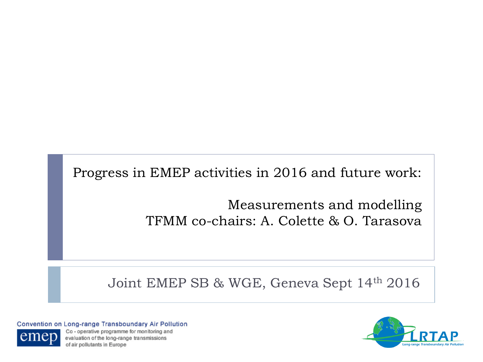Progress in EMEP activities in 2016 and future work:

Measurements and modelling TFMM co-chairs: A. Colette & O. Tarasova

Joint EMEP SB & WGE, Geneva Sept 14th 2016

Convention on Long-range Transboundary Air Pollution



Co - operative programme for monitoring and evaluation of the long-range transmissions of air pollutants in Europe

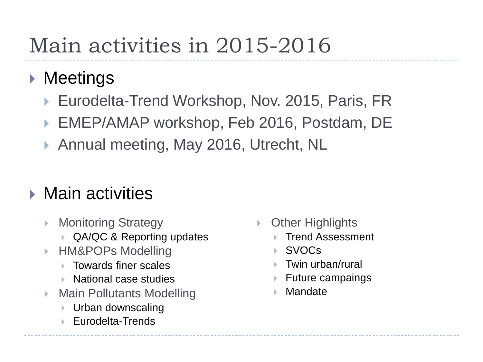# Main activities in 2015-2016

### ▶ Meetings

- ▶ Eurodelta-Trend Workshop, Nov. 2015, Paris, FR
- ▶ EMEP/AMAP workshop, Feb 2016, Postdam, DE
- ▶ Annual meeting, May 2016, Utrecht, NL

### **Main activities**

- Monitoring Strategy
	- **▶ QA/QC & Reporting updates**
- HM&POPs Modelling
	- **► Towards finer scales**
	- $\triangleright$  National case studies
- Main Pollutants Modelling
	- **▶ Urban downscaling**
	- **Eurodelta-Trends**
- Other Highlights
	- Trend Assessment
	- SVOCs
	- **► Twin urban/rural**
	- Future campaings
	- **Mandate**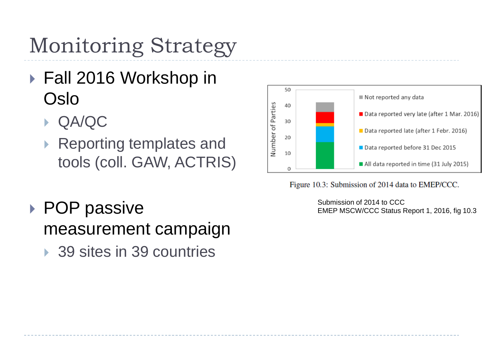Monitoring Strategy

- ▶ Fall 2016 Workshop in Oslo
	- QA/QC
	- ▶ Reporting templates and tools (coll. GAW, ACTRIS)
- ▶ POP passive measurement campaign
	- ▶ 39 sites in 39 countries



Figure 10.3: Submission of 2014 data to EMEP/CCC.

Submission of 2014 to CCC EMEP MSCW/CCC Status Report 1, 2016, fig 10.3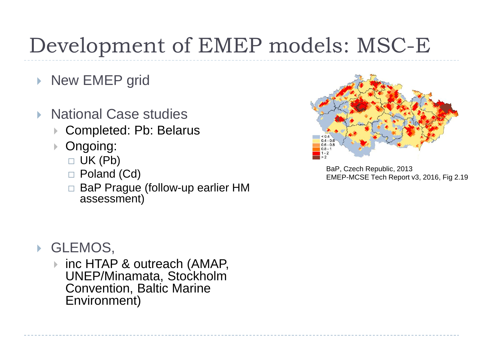# Development of EMEP models: MSC-E

- ▶ New EMEP grid
- National Case studies
	- Completed: Pb: Belarus
	- Ongoing:
		- $\Box$  UK (Pb)
		- □ Poland (Cd)
		- □ BaP Prague (follow-up earlier HM assessment)



 inc HTAP & outreach (AMAP, UNEP/Minamata, Stockholm Convention, Baltic Marine Environment)



BaP, Czech Republic, 2013 EMEP-MCSE Tech Report v3, 2016, Fig 2.19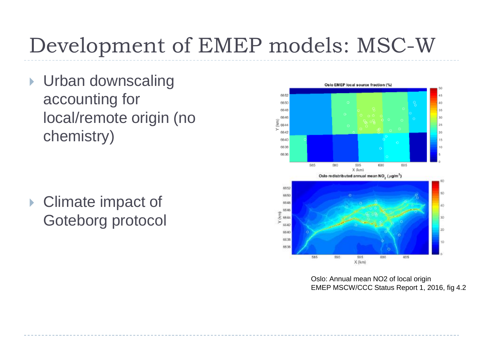# Development of EMEP models: MSC-W

**I** Urban downscaling accounting for local/remote origin (no chemistry)

▶ Climate impact of Goteborg protocol



Oslo: Annual mean NO2 of local origin EMEP MSCW/CCC Status Report 1, 2016, fig 4.2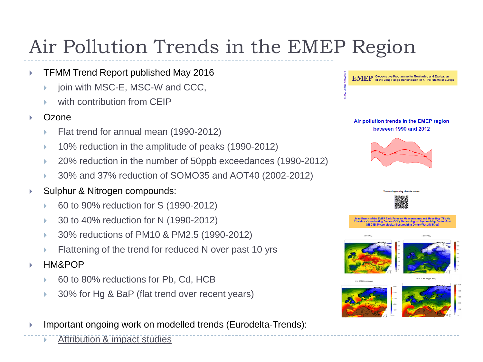## Air Pollution Trends in the EMEP Region

- ▶ TFMM Trend Report published May 2016
	- join with MSC-E, MSC-W and CCC,
	- with contribution from CEIP
- Ozone
	- Flat trend for annual mean (1990-2012)
	- 10% reduction in the amplitude of peaks (1990-2012)
	- 20% reduction in the number of 50ppb exceedances (1990-2012)
	- 30% and 37% reduction of SOMO35 and AOT40 (2002-2012)
- ▶ Sulphur & Nitrogen compounds:
	- 60 to 90% reduction for S (1990-2012)
	- 30 to 40% reduction for N (1990-2012)
	- 30% reductions of PM10 & PM2.5 (1990-2012)
	- Flattening of the trend for reduced N over past 10 yrs
- HM&POP
	- 60 to 80% reductions for Pb, Cd, HCB
	- 30% for Hg & BaP (flat trend over recent years)
- Important ongoing work on modelled trends (Eurodelta-Trends):
	- Attribution & impact studies







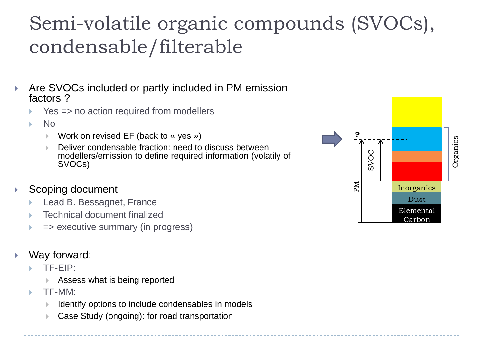### Semi-volatile organic compounds (SVOCs), condensable/filterable

- Are SVOCs included or partly included in PM emission factors ?
	- Yes => no action required from modellers
	- No
		- Work on revised EF (back to « yes »)
		- Deliver condensable fraction: need to discuss between modellers/emission to define required information (volatily of SVOCs)

#### Scoping document

- Lead B. Bessagnet, France
- Technical document finalized
- => executive summary (in progress)

#### Way forward:

- TF-EIP:
	- Assess what is being reported
- TF-MM:
	- Identify options to include condensables in models
	- Case Study (ongoing): for road transportation

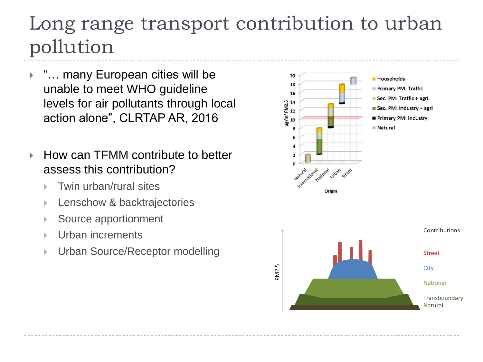### Long range transport contribution to urban pollution

- ▶ "... many European cities will be unable to meet WHO guideline levels for air pollutants through local action alone", CLRTAP AR, 2016
- $\blacktriangleright$  How can TFMM contribute to better assess this contribution?
	- Twin urban/rural sites
	- ▶ Lenschow & backtrajectories
	- Source apportionment
	- Urban increments
	- ▶ Urban Source/Receptor modelling

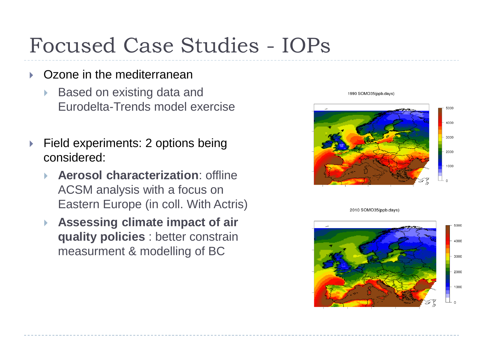## Focused Case Studies - IOPs

- Ozone in the mediterranean
	- Based on existing data and Eurodelta-Trends model exercise
- ▶ Field experiments: 2 options being considered:
	- **Aerosol characterization**: offline ACSM analysis with a focus on Eastern Europe (in coll. With Actris)
	- **Assessing climate impact of air quality policies** : better constrain measurment & modelling of BC



1990 SOMO35(ppb.days)

2010 SOMO35(ppb days)